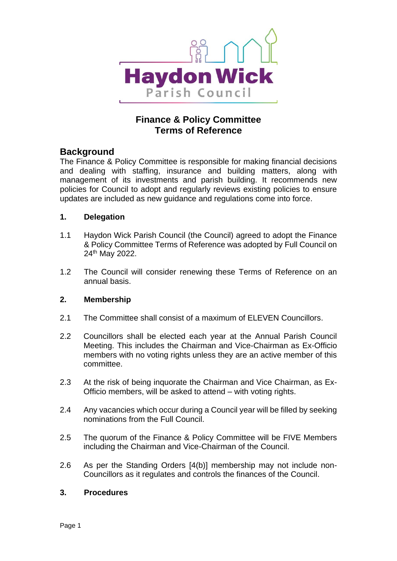

# **Finance & Policy Committee Terms of Reference**

## **Background**

The Finance & Policy Committee is responsible for making financial decisions and dealing with staffing, insurance and building matters, along with management of its investments and parish building. It recommends new policies for Council to adopt and regularly reviews existing policies to ensure updates are included as new guidance and regulations come into force.

## **1. Delegation**

- 1.1 Haydon Wick Parish Council (the Council) agreed to adopt the Finance & Policy Committee Terms of Reference was adopted by Full Council on 24th May 2022.
- 1.2 The Council will consider renewing these Terms of Reference on an annual basis.

## **2. Membership**

- 2.1 The Committee shall consist of a maximum of ELEVEN Councillors.
- 2.2 Councillors shall be elected each year at the Annual Parish Council Meeting. This includes the Chairman and Vice-Chairman as Ex-Officio members with no voting rights unless they are an active member of this committee.
- 2.3 At the risk of being inquorate the Chairman and Vice Chairman, as Ex-Officio members, will be asked to attend – with voting rights.
- 2.4 Any vacancies which occur during a Council year will be filled by seeking nominations from the Full Council.
- 2.5 The quorum of the Finance & Policy Committee will be FIVE Members including the Chairman and Vice-Chairman of the Council.
- 2.6 As per the Standing Orders [4(b)] membership may not include non-Councillors as it regulates and controls the finances of the Council.

## **3. Procedures**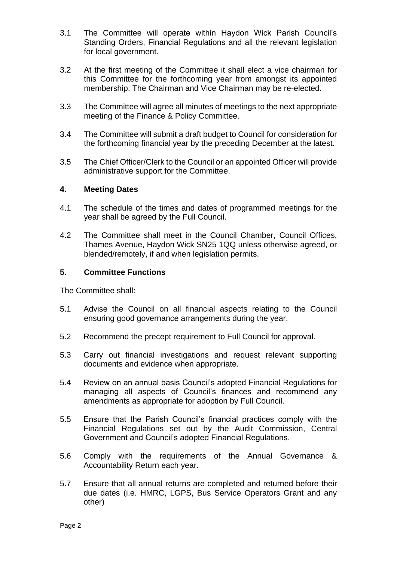- 3.1 The Committee will operate within Haydon Wick Parish Council's Standing Orders, Financial Regulations and all the relevant legislation for local government.
- 3.2 At the first meeting of the Committee it shall elect a vice chairman for this Committee for the forthcoming year from amongst its appointed membership. The Chairman and Vice Chairman may be re-elected.
- 3.3 The Committee will agree all minutes of meetings to the next appropriate meeting of the Finance & Policy Committee.
- 3.4 The Committee will submit a draft budget to Council for consideration for the forthcoming financial year by the preceding December at the latest.
- 3.5 The Chief Officer/Clerk to the Council or an appointed Officer will provide administrative support for the Committee.

#### **4. Meeting Dates**

- 4.1 The schedule of the times and dates of programmed meetings for the year shall be agreed by the Full Council.
- 4.2 The Committee shall meet in the Council Chamber, Council Offices, Thames Avenue, Haydon Wick SN25 1QQ unless otherwise agreed, or blended/remotely, if and when legislation permits.

#### **5. Committee Functions**

The Committee shall:

- 5.1 Advise the Council on all financial aspects relating to the Council ensuring good governance arrangements during the year.
- 5.2 Recommend the precept requirement to Full Council for approval.
- 5.3 Carry out financial investigations and request relevant supporting documents and evidence when appropriate.
- 5.4 Review on an annual basis Council's adopted Financial Regulations for managing all aspects of Council's finances and recommend any amendments as appropriate for adoption by Full Council.
- 5.5 Ensure that the Parish Council's financial practices comply with the Financial Regulations set out by the Audit Commission, Central Government and Council's adopted Financial Regulations.
- 5.6 Comply with the requirements of the Annual Governance & Accountability Return each year.
- 5.7 Ensure that all annual returns are completed and returned before their due dates (i.e. HMRC, LGPS, Bus Service Operators Grant and any other)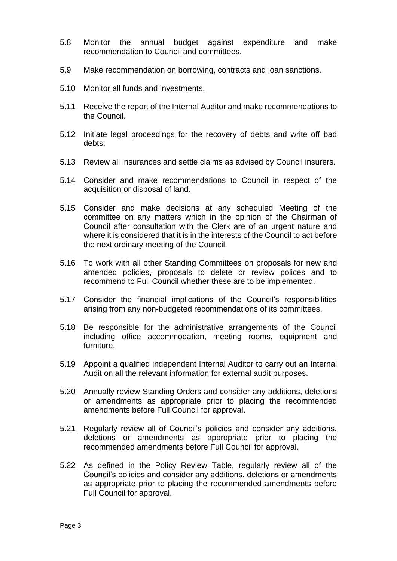- 5.8 Monitor the annual budget against expenditure and make recommendation to Council and committees.
- 5.9 Make recommendation on borrowing, contracts and loan sanctions.
- 5.10 Monitor all funds and investments.
- 5.11 Receive the report of the Internal Auditor and make recommendations to the Council.
- 5.12 Initiate legal proceedings for the recovery of debts and write off bad debts.
- 5.13 Review all insurances and settle claims as advised by Council insurers.
- 5.14 Consider and make recommendations to Council in respect of the acquisition or disposal of land.
- 5.15 Consider and make decisions at any scheduled Meeting of the committee on any matters which in the opinion of the Chairman of Council after consultation with the Clerk are of an urgent nature and where it is considered that it is in the interests of the Council to act before the next ordinary meeting of the Council.
- 5.16 To work with all other Standing Committees on proposals for new and amended policies, proposals to delete or review polices and to recommend to Full Council whether these are to be implemented.
- 5.17 Consider the financial implications of the Council's responsibilities arising from any non-budgeted recommendations of its committees.
- 5.18 Be responsible for the administrative arrangements of the Council including office accommodation, meeting rooms, equipment and furniture.
- 5.19 Appoint a qualified independent Internal Auditor to carry out an Internal Audit on all the relevant information for external audit purposes.
- 5.20 Annually review Standing Orders and consider any additions, deletions or amendments as appropriate prior to placing the recommended amendments before Full Council for approval.
- 5.21 Regularly review all of Council's policies and consider any additions, deletions or amendments as appropriate prior to placing the recommended amendments before Full Council for approval.
- 5.22 As defined in the Policy Review Table, regularly review all of the Council's policies and consider any additions, deletions or amendments as appropriate prior to placing the recommended amendments before Full Council for approval.